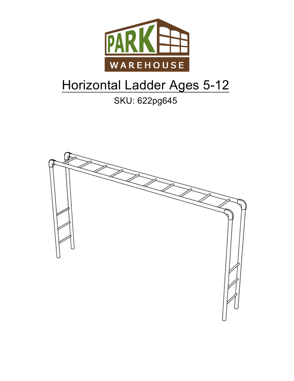

# Horizontal Ladder Ages 5-12

## SKU: 622pg645

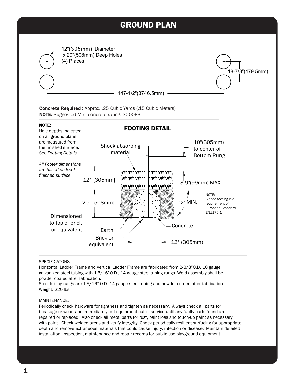



#### SPECIFICATONS:

Horizontal Ladder Frame and Vertical Ladder Frame are fabricated from 2-3/8"O.D. 10 gauge galvanized steel tubing with 1-5/16"O.D., 14 gauge steel tubing rungs. Weld assembly shall be powder coated after fabrication.

Steel tubing rungs are 1-5/16" O.D. 14 gauge steel tubing and powder coated after fabrication. Weight: 220 lbs.

#### MAINTENANCE:

Periodically check hardware for tightness and tighten as necessary. Always check all parts for breakage or wear, and immediately put equipment out of service until any faulty parts found are repaired or replaced. Also check all metal parts for rust, paint loss and touch-up paint as necessary with paint. Check welded areas and verify integrity. Check periodically resilient surfacing for appropriate depth and remove extraneous materials that could cause injury, infection or disease. Maintain detailed installation, inspection, maintenance and repair records for public-use playground equipment.